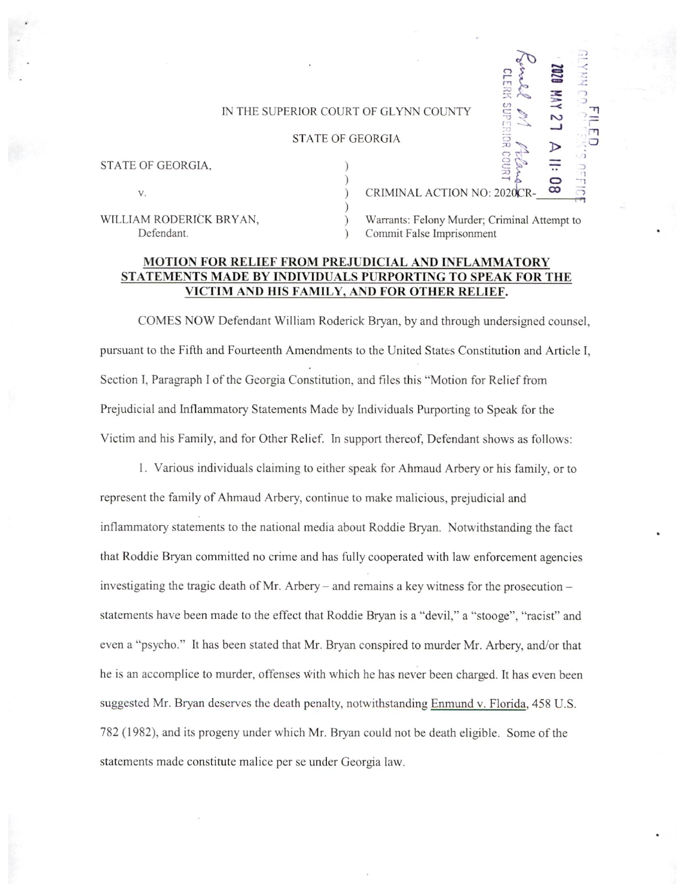## IN THE SUPERIOR COURT OF GLYNN COUNTY<br>
STATE OF GEORGIA

## STATE OF GEORGIA

| STATE OF GEORGIA,       |                                              |  |
|-------------------------|----------------------------------------------|--|
|                         |                                              |  |
| V.                      | CRIMINAL ACTION NO: 2020CR-                  |  |
|                         |                                              |  |
| WILLIAM RODERICK BRYAN, | Warrants: Felony Murder; Criminal Attempt to |  |
| Defendant.              | Commit False Imprisonment                    |  |

Warrants: Felony Murder; Criminal Attempt to Commit False Imprisonment

 $\mathbf{a}$ 

Si

 $\mathbb{Z}$ 

 $\frac{1}{4}$   $\approx$   $\frac{1}{4}$ 

 $\overline{P}$   $\overline{Q}$   $\overline{P}$ 

## MOTION FOR RELIEF FROM PREJUDICIAL AND INFLAMMATORY STATEMENTS MADE BY INDIVIDUALS PURPORTING T0 SPEAK FOR THE VICTIM AND HIS FAMILY, AND FOR OTHER RELIEF.

COMES NOW Defendant William Roderick Bryan, by and through undersigned counsel, pursuant to the Fifth and Fourteenth Amendments to the United States Constitution and Article I, Section I, Paragraph I of the Georgia Constitution, and files this "Motion for Relief from Prejudicial and Inflammatory Statements Made by Individuals Purporting to Speak for the Victim and his Family, and for Other Relief. In support thereof, Defendant shows as follows:

1. Various individuals claiming to either speak for Ahmaud Arbery 0r his family, or to represent the family of Ahmaud Arbery, continue to make malicious, prejudicial and inflammatory statements to the national media about Roddie Bryan. Notwithstanding the fact that Roddie Bryan committed no crime and has fully cooperated with law enforcement agencies investigating the tragic death of Mr. Arbery – and remains a key witness for the prosecution – statements have been made to the effect that Roddie Bryan is a "devil," a "stooge", "racist" and even a "psycho." It has been stated that Mr. Bryan conspired to murder Mr. Arbery, and/or that he is an accomplice to murder, offenses With which he has never been charged. It has even been suggested Mr. Bryan deserves the death penalty, notwithstanding Enmund v. Florida, 458 U.S. 782 (1982), and its progeny under which Mr. Bryan could not be death eligible. Some of the statements made constitute malice per se under Georgia law.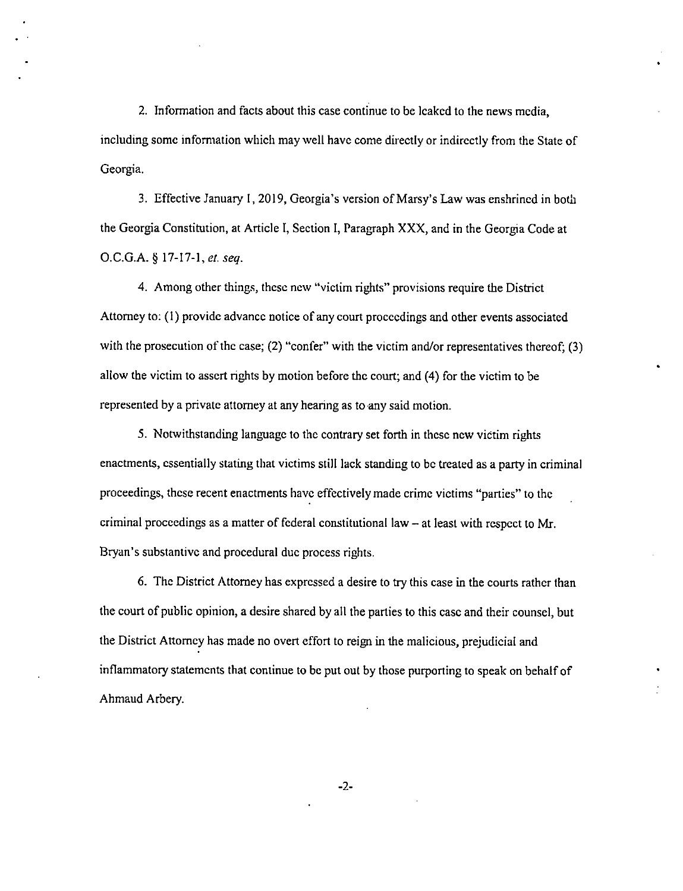2. Information and facts about this case continue to be leaked to the news media, including some information which may well have come directly or indirectly from the State of Georgia.

3. Effective January 1, 2019, Georgia's version of Marsy's Law was enshrined in both the Georgia Constitution, at Article I, Section I, Paragraph XXX, and in the Georgia Code at O.C.G.A. § 17-17-1, et. seq.

4. Among other things, thcsc new "victim rights" provisions require the District Attorney to: (1) provide advance notice of any court proceedings and other events associated with the prosecution of the case; (2) "confer" with the victim and/or representatives thereof; (3) allow the victim to assert rights by motion before the court; and (4) for the victim to be represented by a private attorney at any hearing as to any said motion.

5. Notwithstanding language to the contrary set forth in these new victim rights enactments, essentially stating that victims still lack standing to be treated as a party in criminal proceedings, these recent enactments have effectively made crime victims "parties" to the criminal proceedings as a matter of federal constitutional law  $-$  at least with respect to Mr. Bryan's substantive and procedural duc process rights.

6. The District Attorney has expressed a desire to try this case in the courts rather than the court of public opinion, a desire shared by all the parties to this case and their counsel, but the District Attorney has made no overt effort to reign in the malicious, prejudicial and inflammatory statements that continue to be put out by those purporting to speak on behalf of Ahmaud Arbery.

-2-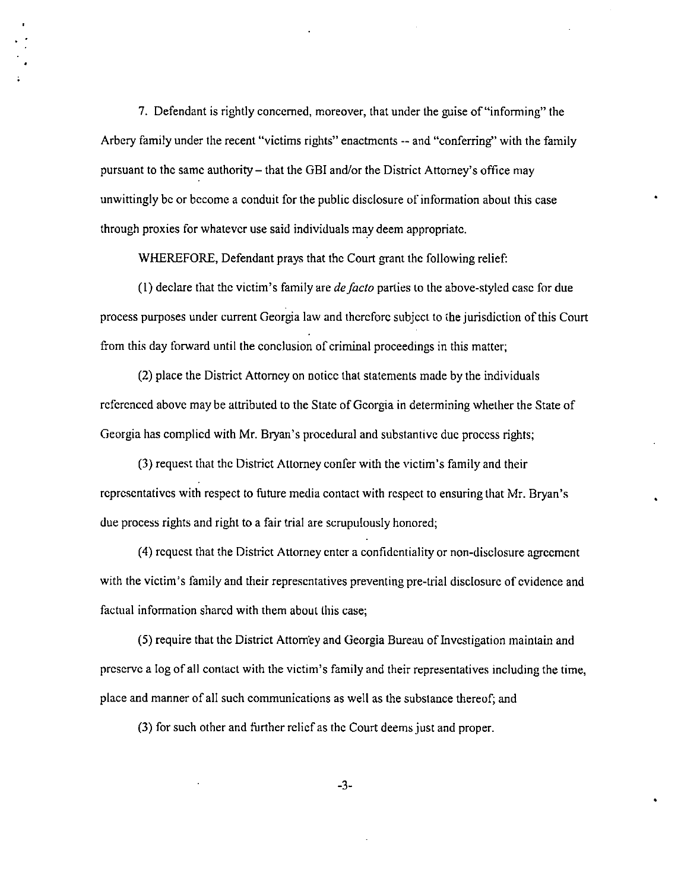7. Defendant is rightly concerned, moreover, that under the guise of "informing" the Arbcry family under the recent "victims rights" enactments -- and "conferring" with the family pursuant to the same authority – that the GBI and/or the District Attorney's office may unwittingly be or become a conduit for the public disclosure of information about this case through proxies for whatever use said individuals may deem appropriate.

WHEREFORE, Defendant prays that the Court grant the following relief:

 $(1)$  declare that the victim's family are *defacto* parties to the above-styled case for due process purposes under current Georgia law and therefore subject to the jurisdiction of this Court from this day forward until the conclusion of criminal proceedings in this matter;

(2) place the District Attorney on notice that statements made by the individuals referenced above may be attributed to the State of Georgia in determining whether the State of Georgia has complied with Mr. Bryan's procedural and substantive duc process rights;

(3) request that thc District Attorney confer with the victim's family and their representatives with respect to future media contact with respect to ensuring that Mr. Bryan's due process rights and right to a fair trial are scrupulously honored;

(4) request that the District Attorney enter a confidentiality or non-disclosure agreement with the victim's family and their representatives preventing pre-trial disclosure of evidence and factual information shared with them about this case;

(5) require that thc District Attom'ey and Georgia Bureau ofInvcstigation maintain and preserve a log of all contact with the victim's family and their representatives including the time, place and manner of all such communications as well as the substance thereof; and

(3) for such other and further rclicfas the Court deems just and proper.

 $-3-$